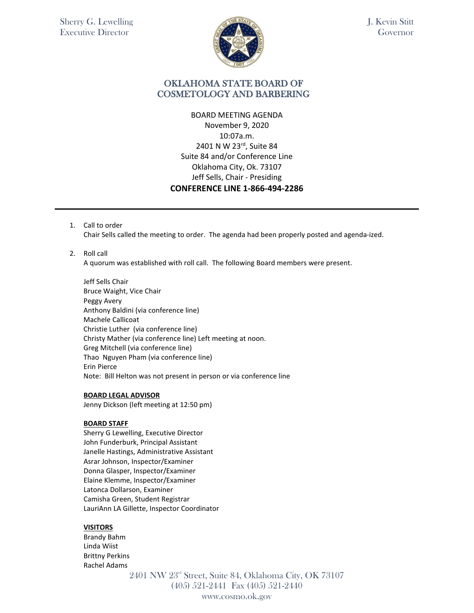

## OKLAHOMA STATE BOARD OF COSMETOLOGY AND BARBERING

BOARD MEETING AGENDA November 9, 2020 10:07a.m. 2401 N W 23rd, Suite 84 Suite 84 and/or Conference Line Oklahoma City, Ok. 73107 Jeff Sells, Chair - Presiding **CONFERENCE LINE 1-866-494-2286**

1. Call to order

Chair Sells called the meeting to order. The agenda had been properly posted and agenda-ized.

2. Roll call

A quorum was established with roll call. The following Board members were present.

Jeff Sells Chair Bruce Waight, Vice Chair Peggy Avery Anthony Baldini (via conference line) Machele Callicoat Christie Luther (via conference line) Christy Mather (via conference line) Left meeting at noon. Greg Mitchell (via conference line) Thao Nguyen Pham (via conference line) Erin Pierce Note: Bill Helton was not present in person or via conference line

#### **BOARD LEGAL ADVISOR**

Jenny Dickson (left meeting at 12:50 pm)

#### **BOARD STAFF**

Sherry G Lewelling, Executive Director John Funderburk, Principal Assistant Janelle Hastings, Administrative Assistant Asrar Johnson, Inspector/Examiner Donna Glasper, Inspector/Examiner Elaine Klemme, Inspector/Examiner Latonca Dollarson, Examiner Camisha Green, Student Registrar LauriAnn LA Gillette, Inspector Coordinator

#### **VISITORS**

Brandy Bahm Linda Wiist Brittny Perkins Rachel Adams

2401 NW 23rd Street, Suite 84, Oklahoma City, OK 73107 (405) 521-2441 Fax (405) 521-2440 www.cosmo.ok.gov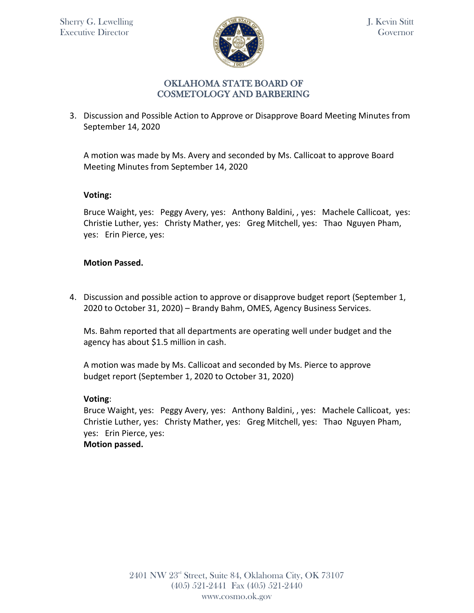

3. Discussion and Possible Action to Approve or Disapprove Board Meeting Minutes from September 14, 2020

A motion was made by Ms. Avery and seconded by Ms. Callicoat to approve Board Meeting Minutes from September 14, 2020

### **Voting:**

Bruce Waight, yes: Peggy Avery, yes: Anthony Baldini, , yes: Machele Callicoat, yes: Christie Luther, yes: Christy Mather, yes: Greg Mitchell, yes: Thao Nguyen Pham, yes: Erin Pierce, yes:

### **Motion Passed.**

4. Discussion and possible action to approve or disapprove budget report (September 1, 2020 to October 31, 2020) – Brandy Bahm, OMES, Agency Business Services.

Ms. Bahm reported that all departments are operating well under budget and the agency has about \$1.5 million in cash.

A motion was made by Ms. Callicoat and seconded by Ms. Pierce to approve budget report (September 1, 2020 to October 31, 2020)

# **Voting**:

Bruce Waight, yes: Peggy Avery, yes: Anthony Baldini, , yes: Machele Callicoat, yes: Christie Luther, yes: Christy Mather, yes: Greg Mitchell, yes: Thao Nguyen Pham, yes: Erin Pierce, yes: **Motion passed.**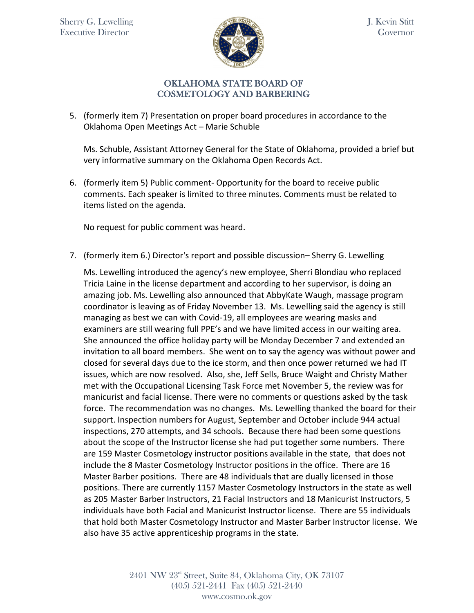

5. (formerly item 7) Presentation on proper board procedures in accordance to the Oklahoma Open Meetings Act – Marie Schuble

Ms. Schuble, Assistant Attorney General for the State of Oklahoma, provided a brief but very informative summary on the Oklahoma Open Records Act.

6. (formerly item 5) Public comment- Opportunity for the board to receive public comments. Each speaker is limited to three minutes. Comments must be related to items listed on the agenda.

No request for public comment was heard.

7. (formerly item 6.) Director's report and possible discussion– Sherry G. Lewelling

Ms. Lewelling introduced the agency's new employee, Sherri Blondiau who replaced Tricia Laine in the license department and according to her supervisor, is doing an amazing job. Ms. Lewelling also announced that AbbyKate Waugh, massage program coordinator is leaving as of Friday November 13. Ms. Lewelling said the agency is still managing as best we can with Covid-19, all employees are wearing masks and examiners are still wearing full PPE's and we have limited access in our waiting area. She announced the office holiday party will be Monday December 7 and extended an invitation to all board members. She went on to say the agency was without power and closed for several days due to the ice storm, and then once power returned we had IT issues, which are now resolved. Also, she, Jeff Sells, Bruce Waight and Christy Mather met with the Occupational Licensing Task Force met November 5, the review was for manicurist and facial license. There were no comments or questions asked by the task force. The recommendation was no changes. Ms. Lewelling thanked the board for their support. Inspection numbers for August, September and October include 944 actual inspections, 270 attempts, and 34 schools. Because there had been some questions about the scope of the Instructor license she had put together some numbers. There are 159 Master Cosmetology instructor positions available in the state, that does not include the 8 Master Cosmetology Instructor positions in the office. There are 16 Master Barber positions. There are 48 individuals that are dually licensed in those positions. There are currently 1157 Master Cosmetology Instructors in the state as well as 205 Master Barber Instructors, 21 Facial Instructors and 18 Manicurist Instructors, 5 individuals have both Facial and Manicurist Instructor license. There are 55 individuals that hold both Master Cosmetology Instructor and Master Barber Instructor license. We also have 35 active apprenticeship programs in the state.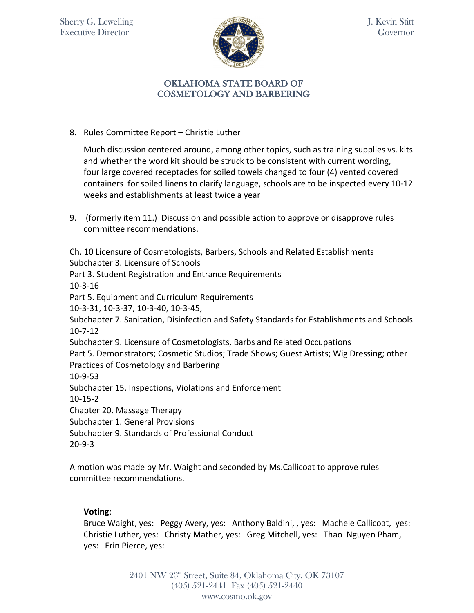

8. Rules Committee Report – Christie Luther

Much discussion centered around, among other topics, such as training supplies vs. kits and whether the word kit should be struck to be consistent with current wording, four large covered receptacles for soiled towels changed to four (4) vented covered containers for soiled linens to clarify language, schools are to be inspected every 10-12 weeks and establishments at least twice a year

9. (formerly item 11.) Discussion and possible action to approve or disapprove rules committee recommendations.

Ch. 10 Licensure of Cosmetologists, Barbers, Schools and Related Establishments Subchapter 3. Licensure of Schools

Part 3. Student Registration and Entrance Requirements

10-3-16

Part 5. Equipment and Curriculum Requirements

10-3-31, 10-3-37, 10-3-40, 10-3-45,

Subchapter 7. Sanitation, Disinfection and Safety Standards for Establishments and Schools 10-7-12

Subchapter 9. Licensure of Cosmetologists, Barbs and Related Occupations

Part 5. Demonstrators; Cosmetic Studios; Trade Shows; Guest Artists; Wig Dressing; other Practices of Cosmetology and Barbering

10-9-53

Subchapter 15. Inspections, Violations and Enforcement

10-15-2

Chapter 20. Massage Therapy

Subchapter 1. General Provisions

Subchapter 9. Standards of Professional Conduct

20-9-3

A motion was made by Mr. Waight and seconded by Ms.Callicoat to approve rules committee recommendations.

# **Voting**:

Bruce Waight, yes: Peggy Avery, yes: Anthony Baldini, , yes: Machele Callicoat, yes: Christie Luther, yes: Christy Mather, yes: Greg Mitchell, yes: Thao Nguyen Pham, yes: Erin Pierce, yes: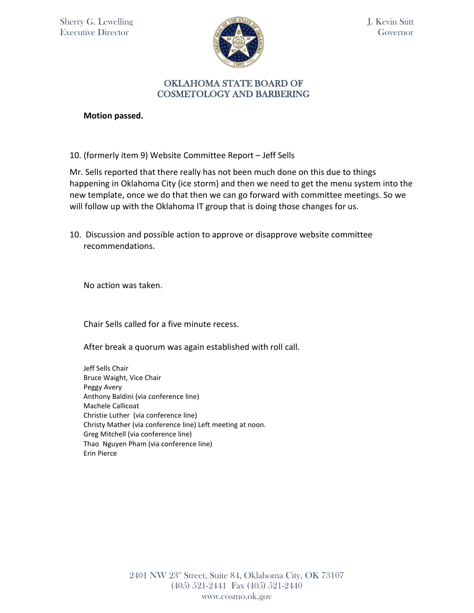

## OKLAHOMA STATE BOARD OF COSMETOLOGY AND BARBERING

**Motion passed.** 

10. (formerly item 9) Website Committee Report – Jeff Sells

Mr. Sells reported that there really has not been much done on this due to things happening in Oklahoma City (ice storm) and then we need to get the menu system into the new template, once we do that then we can go forward with committee meetings. So we will follow up with the Oklahoma IT group that is doing those changes for us.

10. Discussion and possible action to approve or disapprove website committee recommendations.

No action was taken.

Chair Sells called for a five minute recess.

After break a quorum was again established with roll call.

Jeff Sells Chair Bruce Waight, Vice Chair Peggy Avery Anthony Baldini (via conference line) Machele Callicoat Christie Luther (via conference line) Christy Mather (via conference line) Left meeting at noon. Greg Mitchell (via conference line) Thao Nguyen Pham (via conference line) Erin Pierce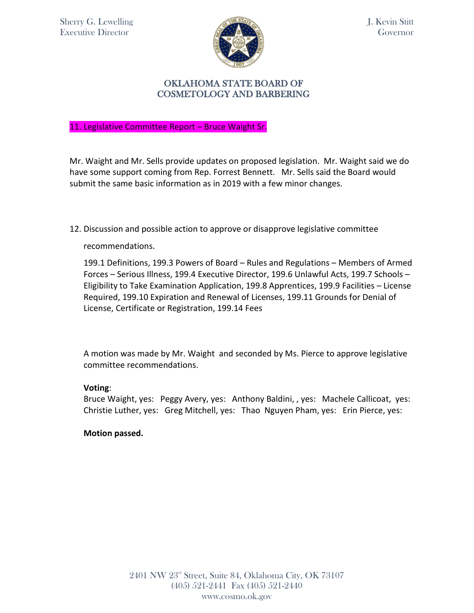Sherry G. Lewelling Executive Director



J. Kevin Stitt Governor

# OKLAHOMA STATE BOARD OF COSMETOLOGY AND BARBERING

11. Legislative Committee Report – Bruce Waight Sr.

Mr. Waight and Mr. Sells provide updates on proposed legislation. Mr. Waight said we do have some support coming from Rep. Forrest Bennett. Mr. Sells said the Board would submit the same basic information as in 2019 with a few minor changes.

12. Discussion and possible action to approve or disapprove legislative committee

recommendations.

199.1 Definitions, 199.3 Powers of Board – Rules and Regulations – Members of Armed Forces – Serious Illness, 199.4 Executive Director, 199.6 Unlawful Acts, 199.7 Schools – Eligibility to Take Examination Application, 199.8 Apprentices, 199.9 Facilities – License Required, 199.10 Expiration and Renewal of Licenses, 199.11 Grounds for Denial of License, Certificate or Registration, 199.14 Fees

A motion was made by Mr. Waight and seconded by Ms. Pierce to approve legislative committee recommendations.

#### **Voting**:

Bruce Waight, yes: Peggy Avery, yes: Anthony Baldini, , yes: Machele Callicoat, yes: Christie Luther, yes: Greg Mitchell, yes: Thao Nguyen Pham, yes: Erin Pierce, yes:

#### **Motion passed.**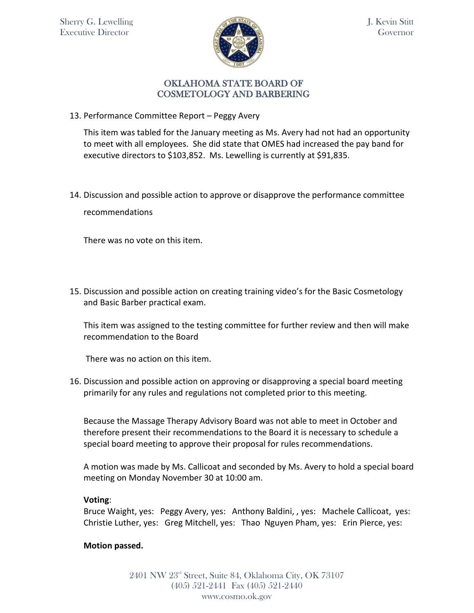

13. Performance Committee Report – Peggy Avery

This item was tabled for the January meeting as Ms. Avery had not had an opportunity to meet with all employees. She did state that OMES had increased the pay band for executive directors to \$103,852. Ms. Lewelling is currently at \$91,835.

14. Discussion and possible action to approve or disapprove the performance committee recommendations

There was no vote on this item.

15. Discussion and possible action on creating training video's for the Basic Cosmetology and Basic Barber practical exam.

This item was assigned to the testing committee for further review and then will make recommendation to the Board

There was no action on this item.

16. Discussion and possible action on approving or disapproving a special board meeting primarily for any rules and regulations not completed prior to this meeting.

Because the Massage Therapy Advisory Board was not able to meet in October and therefore present their recommendations to the Board it is necessary to schedule a special board meeting to approve their proposal for rules recommendations.

A motion was made by Ms. Callicoat and seconded by Ms. Avery to hold a special board meeting on Monday November 30 at 10:00 am.

# **Voting**:

Bruce Waight, yes: Peggy Avery, yes: Anthony Baldini, , yes: Machele Callicoat, yes: Christie Luther, yes: Greg Mitchell, yes: Thao Nguyen Pham, yes: Erin Pierce, yes:

# **Motion passed.**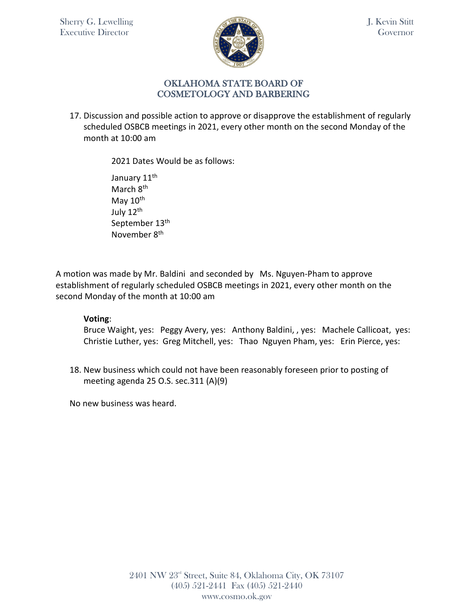

# OKLAHOMA STATE BOARD OF COSMETOLOGY AND BARBERING

17. Discussion and possible action to approve or disapprove the establishment of regularly scheduled OSBCB meetings in 2021, every other month on the second Monday of the month at 10:00 am

2021 Dates Would be as follows:

January 11<sup>th</sup> March 8<sup>th</sup> May 10<sup>th</sup> July 12<sup>th</sup> September 13<sup>th</sup> November 8th

A motion was made by Mr. Baldini and seconded by Ms. Nguyen-Pham to approve establishment of regularly scheduled OSBCB meetings in 2021, every other month on the second Monday of the month at 10:00 am

# **Voting**:

Bruce Waight, yes: Peggy Avery, yes: Anthony Baldini, , yes: Machele Callicoat, yes: Christie Luther, yes: Greg Mitchell, yes: Thao Nguyen Pham, yes: Erin Pierce, yes:

18. New business which could not have been reasonably foreseen prior to posting of meeting agenda 25 O.S. sec.311 (A)(9)

No new business was heard.